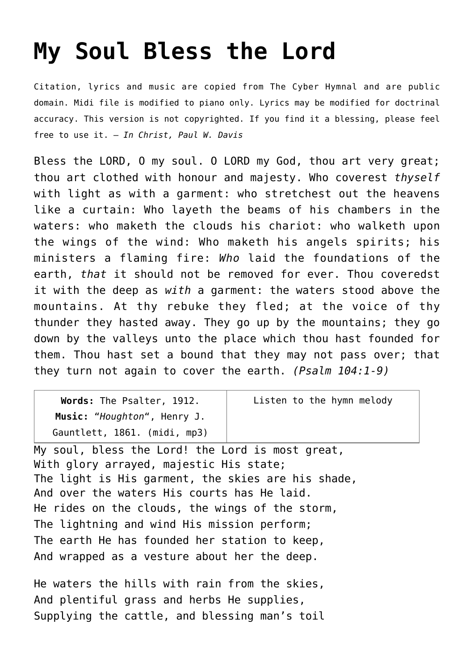## **[My Soul Bless the Lord](http://reproachofmen.org/hymns-and-music/my-soul-bless-the-lord/)**

Citation, lyrics and music are copied from [The Cyber Hymnal](http://www.hymntime.com/tch/index.htm) and are public domain. Midi file is modified to piano only. Lyrics may be modified for doctrinal accuracy. This version is not copyrighted. If you find it a blessing, please feel free to use it. — *In Christ, Paul W. Davis*

Bless the LORD, O my soul. O LORD my God, thou art very great; thou art clothed with honour and majesty. Who coverest *thyself* with light as with a garment: who stretchest out the heavens like a curtain: Who layeth the beams of his chambers in the waters: who maketh the clouds his chariot: who walketh upon the wings of the wind: Who maketh his angels spirits; his ministers a flaming fire: *Who* laid the foundations of the earth, *that* it should not be removed for ever. Thou coveredst it with the deep as *with* a garment: the waters stood above the mountains. At thy rebuke they fled; at the voice of thy thunder they hasted away. They go up by the mountains; they go down by the valleys unto the place which thou hast founded for them. Thou hast set a bound that they may not pass over; that they turn not again to cover the earth. *(Psalm 104:1-9)*

| Words: The Psalter, 1912.    | Listen to the hymn melody |
|------------------------------|---------------------------|
| Music: "Houghton", Henry J.  |                           |
| Gauntlett, 1861. (midi, mp3) |                           |

My soul, bless the Lord! the Lord is most great, With glory arrayed, majestic His state; The light is His garment, the skies are his shade, And over the waters His courts has He laid. He rides on the clouds, the wings of the storm, The lightning and wind His mission perform; The earth He has founded her station to keep, And wrapped as a vesture about her the deep.

He waters the hills with rain from the skies, And plentiful grass and herbs He supplies, Supplying the cattle, and blessing man's toil